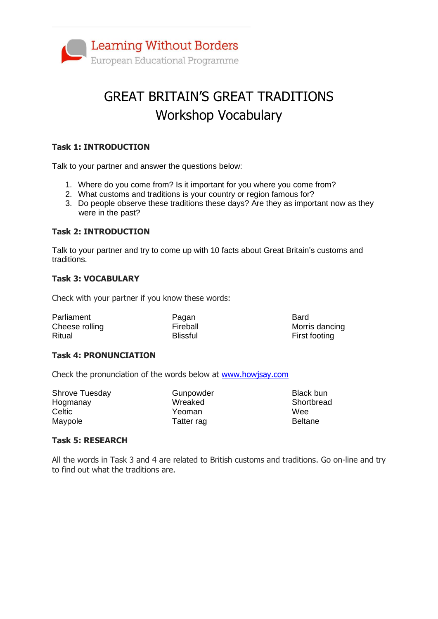

# GREAT BRITAIN'S GREAT TRADITIONS Workshop Vocabulary

### **Task 1: INTRODUCTION**

Talk to your partner and answer the questions below:

- 1. Where do you come from? Is it important for you where you come from?
- 2. What customs and traditions is your country or region famous for?
- 3. Do people observe these traditions these days? Are they as important now as they were in the past?

#### **Task 2: INTRODUCTION**

Talk to your partner and try to come up with 10 facts about Great Britain's customs and traditions.

#### **Task 3: VOCABULARY**

Check with your partner if you know these words:

| Parliament     | Pagan           | Bard           |
|----------------|-----------------|----------------|
| Cheese rolling | Fireball        | Morris dancing |
| Ritual         | <b>Blissful</b> | First footing  |

#### **Task 4: PRONUNCIATION**

Check the pronunciation of the words below at [www.howjsay.com](http://www.howjsay.com/)

Shrove Tuesday Hogmanay **Celtic** Maypole

Gunpowder Wreaked Yeoman Tatter rag

Black bun **Shortbread Wee** Beltane

#### **Task 5: RESEARCH**

All the words in Task 3 and 4 are related to British customs and traditions. Go on-line and try to find out what the traditions are.